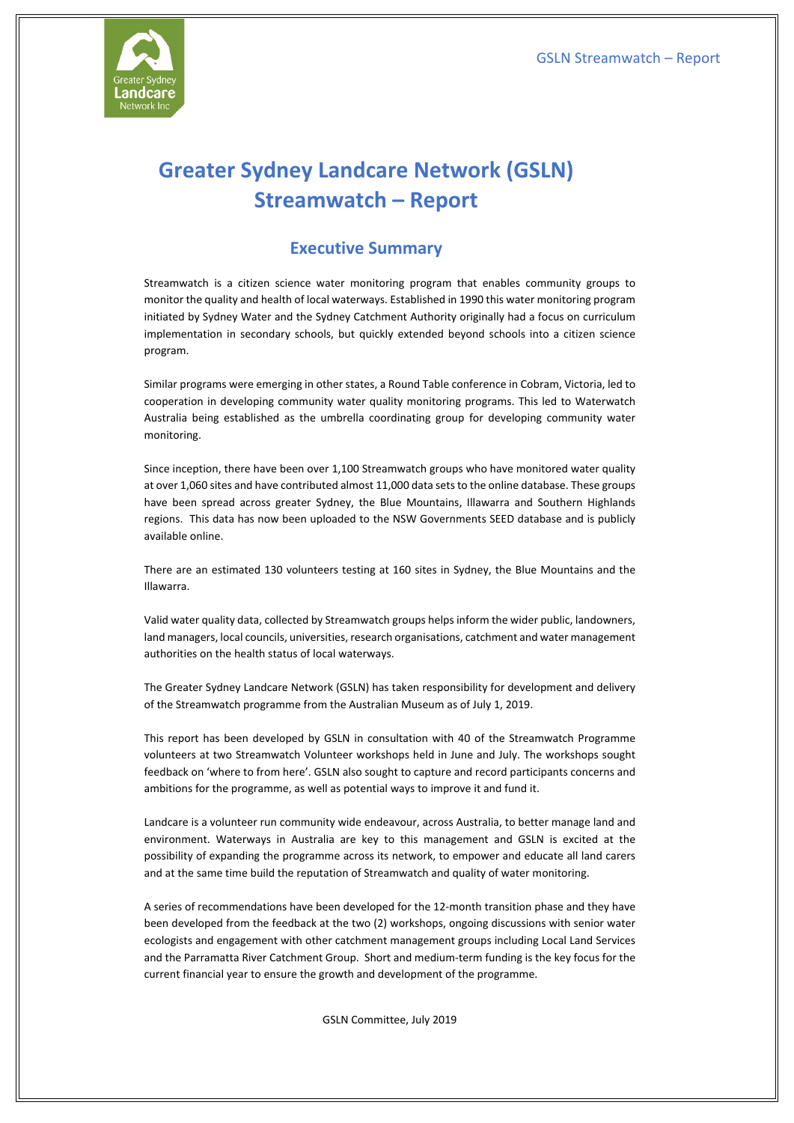

# **Greater Sydney Landcare Network (GSLN) Streamwatch – Report**

## **Executive Summary**

Streamwatch is a citizen science water monitoring program that enables community groups to monitor the quality and health of local waterways. Established in 1990 this water monitoring program initiated by Sydney Water and the Sydney Catchment Authority originally had a focus on curriculum implementation in secondary schools, but quickly extended beyond schools into a citizen science program.

Similar programs were emerging in other states, a Round Table conference in Cobram, Victoria, led to cooperation in developing community water quality monitoring programs. This led to Waterwatch Australia being established as the umbrella coordinating group for developing community water monitoring.

Since inception, there have been over 1,100 Streamwatch groups who have monitored water quality at over 1,060 sites and have contributed almost 11,000 data sets to the online database. These groups have been spread across greater Sydney, the Blue Mountains, Illawarra and Southern Highlands regions. This data has now been uploaded to the NSW Governments SEED database and is publicly available online.

There are an estimated 130 volunteers testing at 160 sites in Sydney, the Blue Mountains and the Illawarra.

Valid water quality data, collected by Streamwatch groups helps inform the wider public, landowners, land managers, local councils, universities, research organisations, catchment and water management authorities on the health status of local waterways.

The Greater Sydney Landcare Network (GSLN) has taken responsibility for development and delivery of the Streamwatch programme from the Australian Museum as of July 1, 2019.

This report has been developed by GSLN in consultation with 40 of the Streamwatch Programme volunteers at two Streamwatch Volunteer workshops held in June and July. The workshops sought feedback on 'where to from here'. GSLN also sought to capture and record participants concerns and ambitions for the programme, as well as potential ways to improve it and fund it.

Landcare is a volunteer run community wide endeavour, across Australia, to better manage land and environment. Waterways in Australia are key to this management and GSLN is excited at the possibility of expanding the programme across its network, to empower and educate all land carers and at the same time build the reputation of Streamwatch and quality of water monitoring.

A series of recommendations have been developed for the 12-month transition phase and they have been developed from the feedback at the two (2) workshops, ongoing discussions with senior water ecologists and engagement with other catchment management groups including Local Land Services and the Parramatta River Catchment Group. Short and medium-term funding is the key focus for the current financial year to ensure the growth and development of the programme.

GSLN Committee, July 2019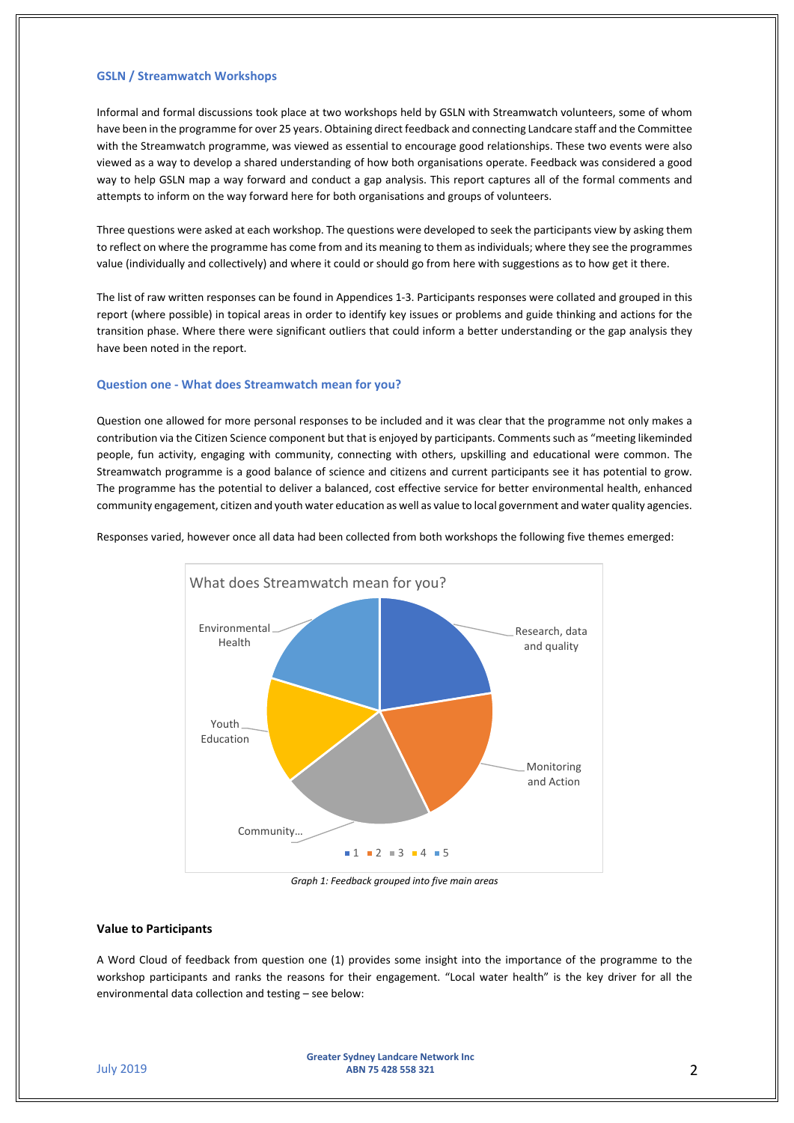#### **GSLN / Streamwatch Workshops**

Informal and formal discussions took place at two workshops held by GSLN with Streamwatch volunteers, some of whom have been in the programme for over 25 years. Obtaining direct feedback and connecting Landcare staff and the Committee with the Streamwatch programme, was viewed as essential to encourage good relationships. These two events were also viewed as a way to develop a shared understanding of how both organisations operate. Feedback was considered a good way to help GSLN map a way forward and conduct a gap analysis. This report captures all of the formal comments and attempts to inform on the way forward here for both organisations and groups of volunteers.

Three questions were asked at each workshop. The questions were developed to seek the participants view by asking them to reflect on where the programme has come from and its meaning to them as individuals; where they see the programmes value (individually and collectively) and where it could or should go from here with suggestions as to how get it there.

The list of raw written responses can be found in Appendices 1-3. Participants responses were collated and grouped in this report (where possible) in topical areas in order to identify key issues or problems and guide thinking and actions for the transition phase. Where there were significant outliers that could inform a better understanding or the gap analysis they have been noted in the report.

#### **Question one - What does Streamwatch mean for you?**

Question one allowed for more personal responses to be included and it was clear that the programme not only makes a contribution via the Citizen Science component but that is enjoyed by participants. Comments such as "meeting likeminded people, fun activity, engaging with community, connecting with others, upskilling and educational were common. The Streamwatch programme is a good balance of science and citizens and current participants see it has potential to grow. The programme has the potential to deliver a balanced, cost effective service for better environmental health, enhanced community engagement, citizen and youth water education as well as value to local government and water quality agencies.



Responses varied, however once all data had been collected from both workshops the following five themes emerged:

*Graph 1: Feedback grouped into five main areas*

#### **Value to Participants**

A Word Cloud of feedback from question one (1) provides some insight into the importance of the programme to the workshop participants and ranks the reasons for their engagement. "Local water health" is the key driver for all the environmental data collection and testing – see below: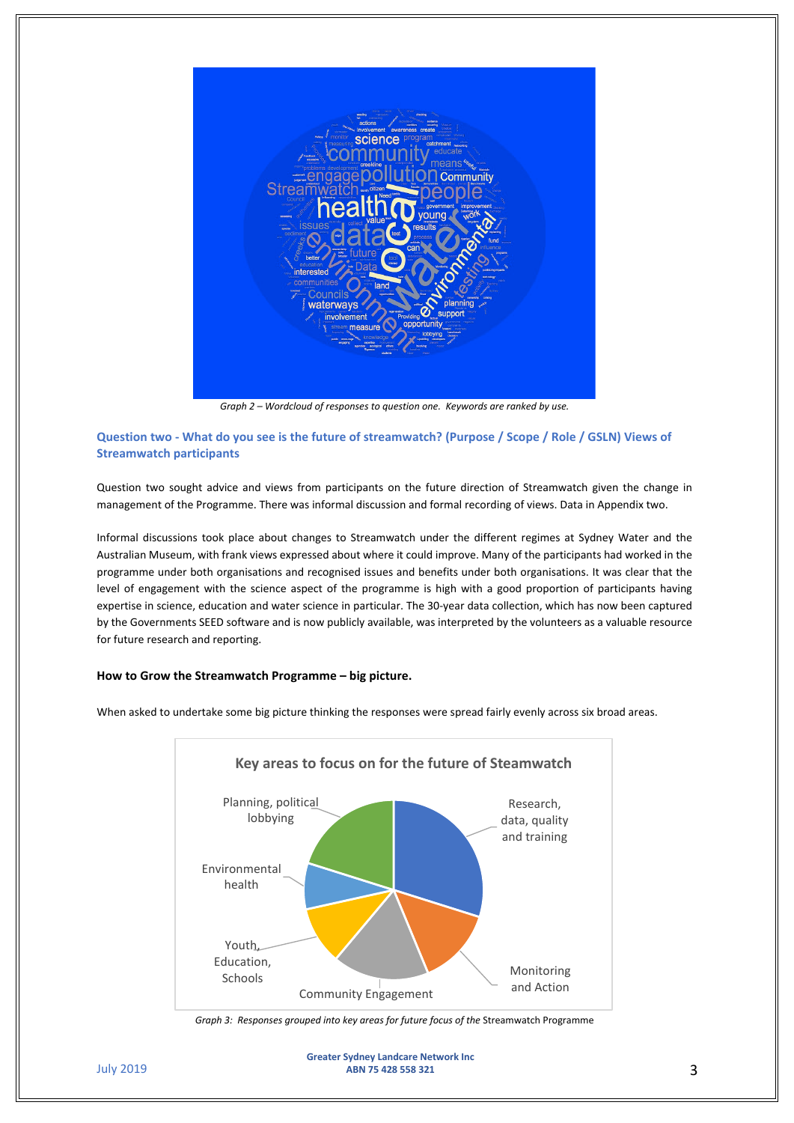

*Graph 2 – Wordcloud of responses to question one. Keywords are ranked by use.*

### **Question two - What do you see is the future of streamwatch? (Purpose / Scope / Role / GSLN) Views of Streamwatch participants**

Question two sought advice and views from participants on the future direction of Streamwatch given the change in management of the Programme. There was informal discussion and formal recording of views. Data in Appendix two.

Informal discussions took place about changes to Streamwatch under the different regimes at Sydney Water and the Australian Museum, with frank views expressed about where it could improve. Many of the participants had worked in the programme under both organisations and recognised issues and benefits under both organisations. It was clear that the level of engagement with the science aspect of the programme is high with a good proportion of participants having expertise in science, education and water science in particular. The 30-year data collection, which has now been captured by the Governments SEED software and is now publicly available, was interpreted by the volunteers as a valuable resource for future research and reporting.

#### **How to Grow the Streamwatch Programme – big picture.**



When asked to undertake some big picture thinking the responses were spread fairly evenly across six broad areas.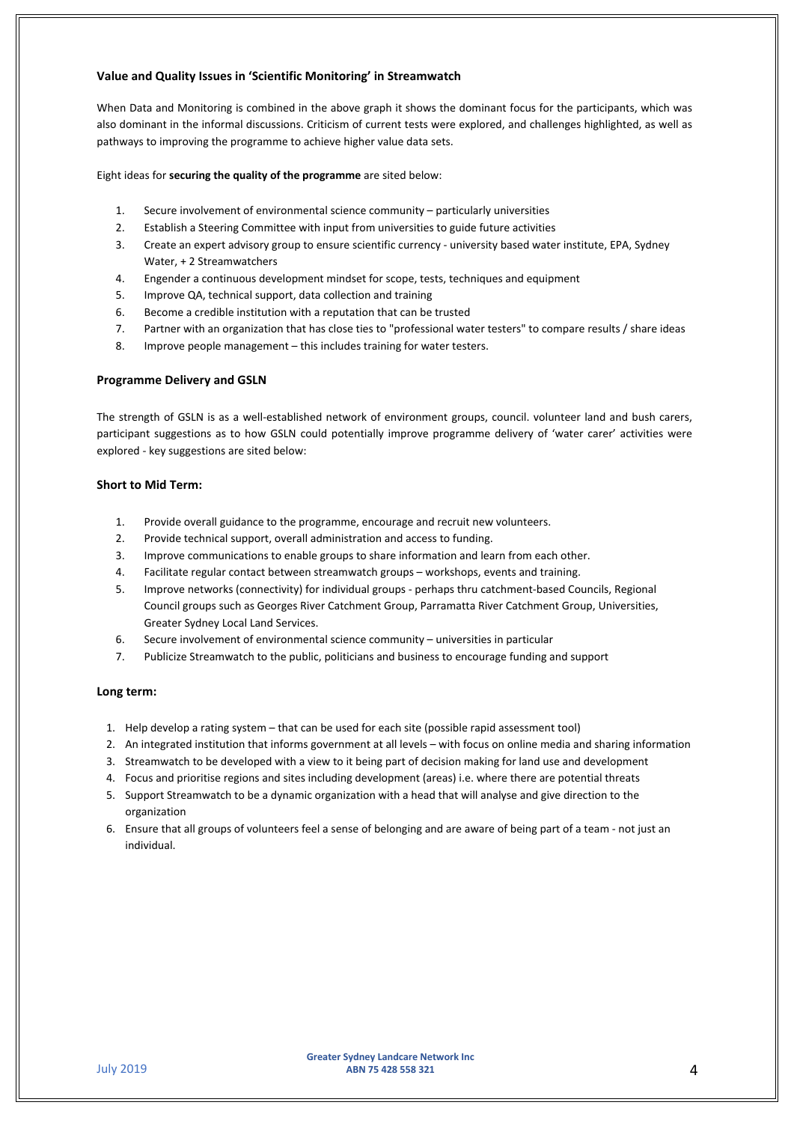#### **Value and Quality Issues in 'Scientific Monitoring' in Streamwatch**

When Data and Monitoring is combined in the above graph it shows the dominant focus for the participants, which was also dominant in the informal discussions. Criticism of current tests were explored, and challenges highlighted, as well as pathways to improving the programme to achieve higher value data sets.

Eight ideas for **securing the quality of the programme** are sited below:

- 1. Secure involvement of environmental science community particularly universities
- 2. Establish a Steering Committee with input from universities to guide future activities
- 3. Create an expert advisory group to ensure scientific currency university based water institute, EPA, Sydney Water, + 2 Streamwatchers
- 4. Engender a continuous development mindset for scope, tests, techniques and equipment
- 5. Improve QA, technical support, data collection and training
- 6. Become a credible institution with a reputation that can be trusted
- 7. Partner with an organization that has close ties to "professional water testers" to compare results / share ideas
- 8. Improve people management this includes training for water testers.

#### **Programme Delivery and GSLN**

The strength of GSLN is as a well-established network of environment groups, council. volunteer land and bush carers, participant suggestions as to how GSLN could potentially improve programme delivery of 'water carer' activities were explored - key suggestions are sited below:

#### **Short to Mid Term:**

- 1. Provide overall guidance to the programme, encourage and recruit new volunteers.
- 2. Provide technical support, overall administration and access to funding.
- 3. Improve communications to enable groups to share information and learn from each other.
- 4. Facilitate regular contact between streamwatch groups workshops, events and training.
- 5. Improve networks (connectivity) for individual groups perhaps thru catchment-based Councils, Regional Council groups such as Georges River Catchment Group, Parramatta River Catchment Group, Universities, Greater Sydney Local Land Services.
- 6. Secure involvement of environmental science community universities in particular
- 7. Publicize Streamwatch to the public, politicians and business to encourage funding and support

#### **Long term:**

- 1. Help develop a rating system that can be used for each site (possible rapid assessment tool)
- 2. An integrated institution that informs government at all levels with focus on online media and sharing information
- 3. Streamwatch to be developed with a view to it being part of decision making for land use and development
- 4. Focus and prioritise regions and sites including development (areas) i.e. where there are potential threats
- 5. Support Streamwatch to be a dynamic organization with a head that will analyse and give direction to the organization
- 6. Ensure that all groups of volunteers feel a sense of belonging and are aware of being part of a team not just an individual.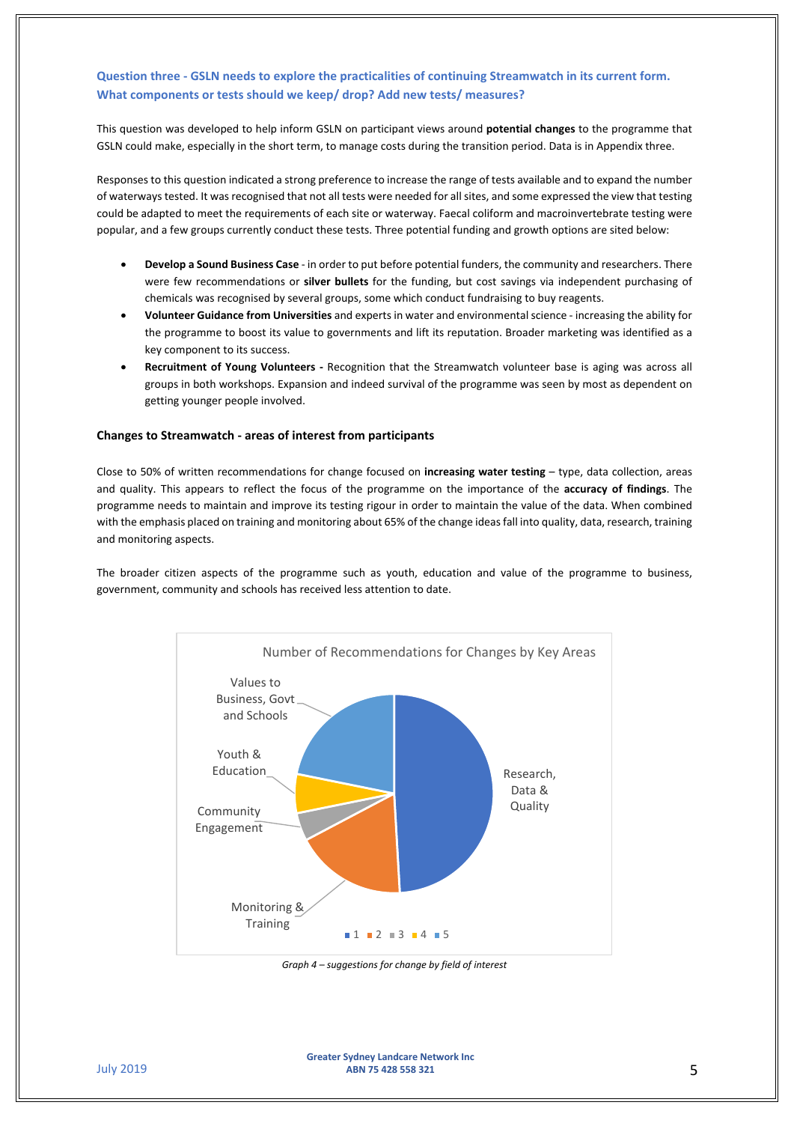## **Question three - GSLN needs to explore the practicalities of continuing Streamwatch in its current form. What components or tests should we keep/ drop? Add new tests/ measures?**

This question was developed to help inform GSLN on participant views around **potential changes** to the programme that GSLN could make, especially in the short term, to manage costs during the transition period. Data is in Appendix three.

Responses to this question indicated a strong preference to increase the range of tests available and to expand the number of waterways tested. It was recognised that not all tests were needed for all sites, and some expressed the view that testing could be adapted to meet the requirements of each site or waterway. Faecal coliform and macroinvertebrate testing were popular, and a few groups currently conduct these tests. Three potential funding and growth options are sited below:

- **Develop a Sound Business Case** in order to put before potential funders, the community and researchers. There were few recommendations or **silver bullets** for the funding, but cost savings via independent purchasing of chemicals was recognised by several groups, some which conduct fundraising to buy reagents.
- **Volunteer Guidance from Universities** and experts in water and environmental science increasing the ability for the programme to boost its value to governments and lift its reputation. Broader marketing was identified as a key component to its success.
- **Recruitment of Young Volunteers -** Recognition that the Streamwatch volunteer base is aging was across all groups in both workshops. Expansion and indeed survival of the programme was seen by most as dependent on getting younger people involved.

#### **Changes to Streamwatch - areas of interest from participants**

Close to 50% of written recommendations for change focused on **increasing water testing** – type, data collection, areas and quality. This appears to reflect the focus of the programme on the importance of the **accuracy of findings**. The programme needs to maintain and improve its testing rigour in order to maintain the value of the data. When combined with the emphasis placed on training and monitoring about 65% of the change ideas fall into quality, data, research, training and monitoring aspects.

The broader citizen aspects of the programme such as youth, education and value of the programme to business, government, community and schools has received less attention to date.



*Graph 4 – suggestions for change by field of interest*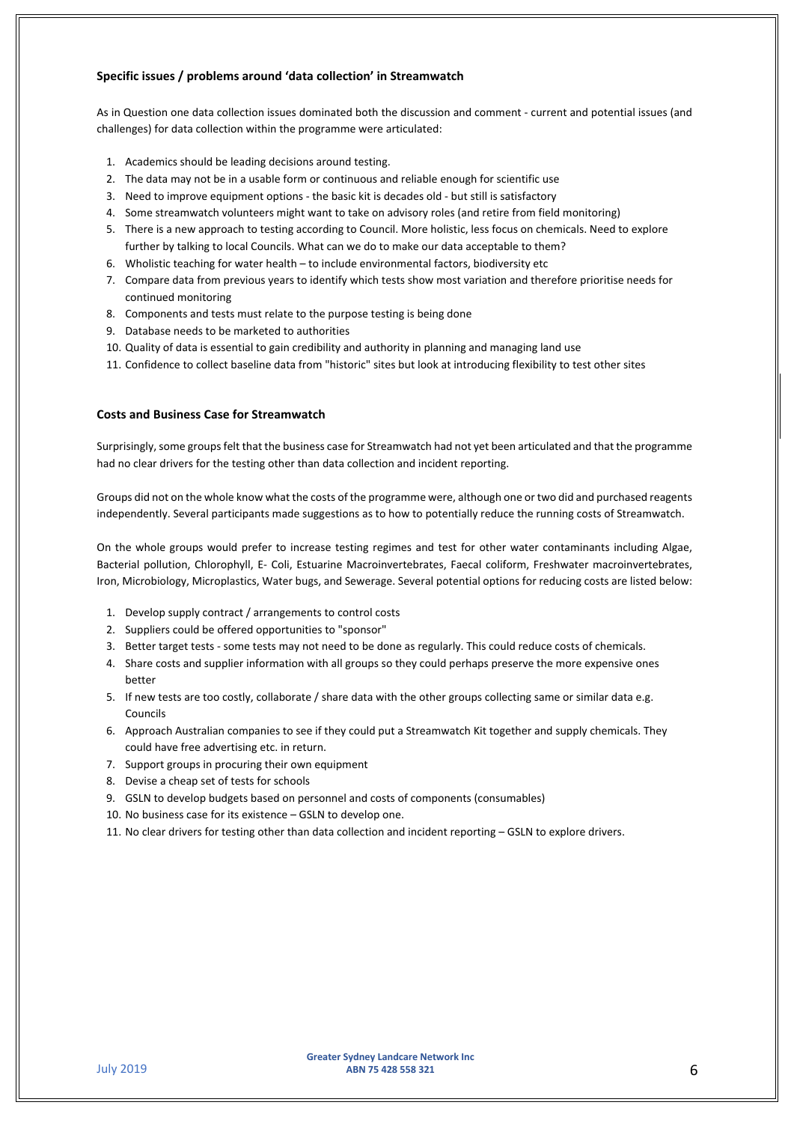#### **Specific issues / problems around 'data collection' in Streamwatch**

As in Question one data collection issues dominated both the discussion and comment - current and potential issues (and challenges) for data collection within the programme were articulated:

- 1. Academics should be leading decisions around testing.
- 2. The data may not be in a usable form or continuous and reliable enough for scientific use
- 3. Need to improve equipment options the basic kit is decades old but still is satisfactory
- 4. Some streamwatch volunteers might want to take on advisory roles (and retire from field monitoring)
- 5. There is a new approach to testing according to Council. More holistic, less focus on chemicals. Need to explore further by talking to local Councils. What can we do to make our data acceptable to them?
- 6. Wholistic teaching for water health to include environmental factors, biodiversity etc
- 7. Compare data from previous years to identify which tests show most variation and therefore prioritise needs for continued monitoring
- 8. Components and tests must relate to the purpose testing is being done
- 9. Database needs to be marketed to authorities
- 10. Quality of data is essential to gain credibility and authority in planning and managing land use
- 11. Confidence to collect baseline data from "historic" sites but look at introducing flexibility to test other sites

#### **Costs and Business Case for Streamwatch**

Surprisingly, some groups felt that the business case for Streamwatch had not yet been articulated and that the programme had no clear drivers for the testing other than data collection and incident reporting.

Groups did not on the whole know what the costs of the programme were, although one or two did and purchased reagents independently. Several participants made suggestions as to how to potentially reduce the running costs of Streamwatch.

On the whole groups would prefer to increase testing regimes and test for other water contaminants including Algae, Bacterial pollution, Chlorophyll, E- Coli, Estuarine Macroinvertebrates, Faecal coliform, Freshwater macroinvertebrates, Iron, Microbiology, Microplastics, Water bugs, and Sewerage. Several potential options for reducing costs are listed below:

- 1. Develop supply contract / arrangements to control costs
- 2. Suppliers could be offered opportunities to "sponsor"
- 3. Better target tests some tests may not need to be done as regularly. This could reduce costs of chemicals.
- 4. Share costs and supplier information with all groups so they could perhaps preserve the more expensive ones better
- 5. If new tests are too costly, collaborate / share data with the other groups collecting same or similar data e.g. Councils
- 6. Approach Australian companies to see if they could put a Streamwatch Kit together and supply chemicals. They could have free advertising etc. in return.
- 7. Support groups in procuring their own equipment
- 8. Devise a cheap set of tests for schools
- 9. GSLN to develop budgets based on personnel and costs of components (consumables)
- 10. No business case for its existence GSLN to develop one.
- 11. No clear drivers for testing other than data collection and incident reporting GSLN to explore drivers.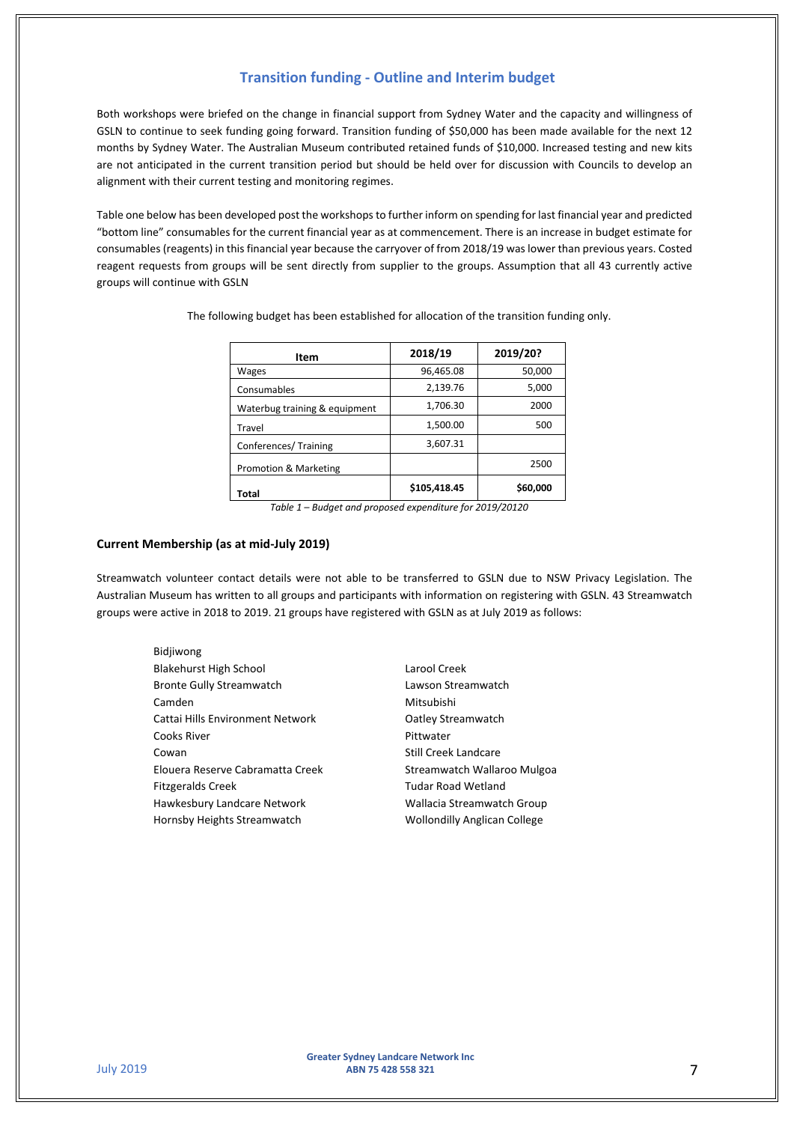### **Transition funding - Outline and Interim budget**

Both workshops were briefed on the change in financial support from Sydney Water and the capacity and willingness of GSLN to continue to seek funding going forward. Transition funding of \$50,000 has been made available for the next 12 months by Sydney Water. The Australian Museum contributed retained funds of \$10,000. Increased testing and new kits are not anticipated in the current transition period but should be held over for discussion with Councils to develop an alignment with their current testing and monitoring regimes.

Table one below has been developed post the workshops to further inform on spending for last financial year and predicted "bottom line" consumables for the current financial year as at commencement. There is an increase in budget estimate for consumables (reagents) in this financial year because the carryover of from 2018/19 was lower than previous years. Costed reagent requests from groups will be sent directly from supplier to the groups. Assumption that all 43 currently active groups will continue with GSLN

| Item                          | 2018/19      | 2019/20? |
|-------------------------------|--------------|----------|
| Wages                         | 96,465.08    | 50,000   |
| Consumables                   | 2,139.76     | 5,000    |
| Waterbug training & equipment | 1,706.30     | 2000     |
| Travel                        | 1,500.00     | 500      |
| Conferences/Training          | 3,607.31     |          |
| Promotion & Marketing         |              | 2500     |
| Total                         | \$105,418.45 | \$60,000 |

The following budget has been established for allocation of the transition funding only.

#### **Current Membership (as at mid-July 2019)**

Streamwatch volunteer contact details were not able to be transferred to GSLN due to NSW Privacy Legislation. The Australian Museum has written to all groups and participants with information on registering with GSLN. 43 Streamwatch groups were active in 2018 to 2019. 21 groups have registered with GSLN as at July 2019 as follows:

- **Bidiiwong** Blakehurst High School Bronte Gully Streamwatch Camden Cattai Hills Environment Network Cooks River Cowan Elouera Reserve Cabramatta Creek Fitzgeralds Creek Hawkesbury Landcare Network Hornsby Heights Streamwatch
- Larool Creek Lawson Streamwatch Mitsubishi Oatley Streamwatch Pittwater Still Creek Landcare Streamwatch Wallaroo Mulgoa Tudar Road Wetland Wallacia Streamwatch Group Wollondilly Anglican College

*Table 1 – Budget and proposed expenditure for 2019/20120*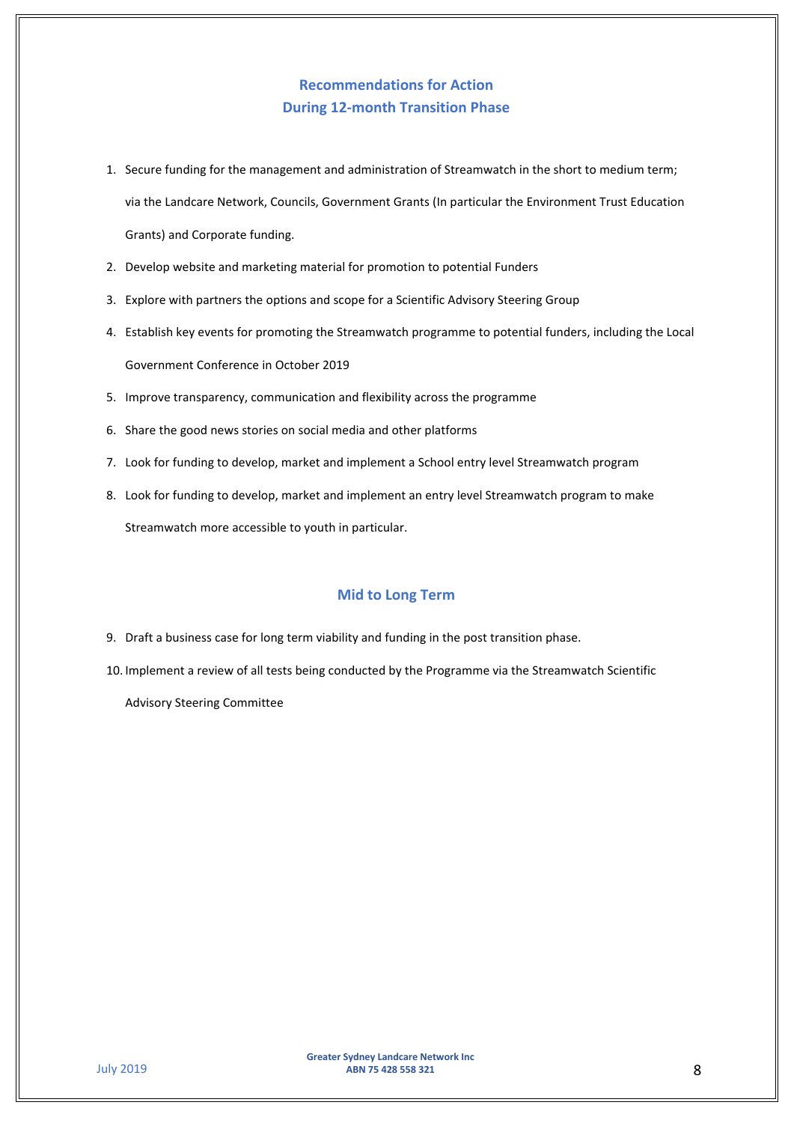# **Recommendations for Action During 12-month Transition Phase**

- 1. Secure funding for the management and administration of Streamwatch in the short to medium term; via the Landcare Network, Councils, Government Grants (In particular the Environment Trust Education Grants) and Corporate funding.
- 2. Develop website and marketing material for promotion to potential Funders
- 3. Explore with partners the options and scope for a Scientific Advisory Steering Group
- 4. Establish key events for promoting the Streamwatch programme to potential funders, including the Local Government Conference in October 2019
- 5. Improve transparency, communication and flexibility across the programme
- 6. Share the good news stories on social media and other platforms
- 7. Look for funding to develop, market and implement a School entry level Streamwatch program
- 8. Look for funding to develop, market and implement an entry level Streamwatch program to make Streamwatch more accessible to youth in particular.

## **Mid to Long Term**

- 9. Draft a business case for long term viability and funding in the post transition phase.
- 10. Implement a review of all tests being conducted by the Programme via the Streamwatch Scientific

Advisory Steering Committee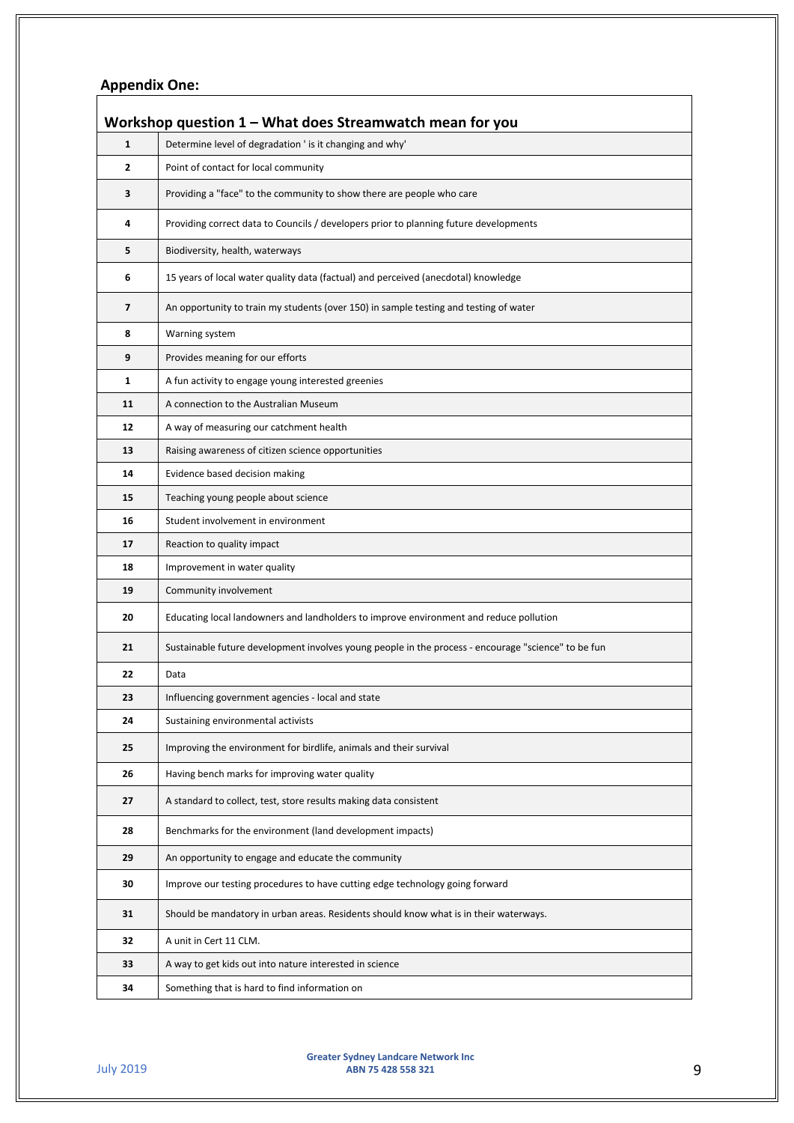# **Appendix One:**

|                | Workshop question $1 -$ What does Streamwatch mean for you                                          |  |  |
|----------------|-----------------------------------------------------------------------------------------------------|--|--|
| $\mathbf{1}$   | Determine level of degradation ' is it changing and why'                                            |  |  |
| $\mathbf{z}$   | Point of contact for local community                                                                |  |  |
| 3              | Providing a "face" to the community to show there are people who care                               |  |  |
| 4              | Providing correct data to Councils / developers prior to planning future developments               |  |  |
| 5              | Biodiversity, health, waterways                                                                     |  |  |
| 6              | 15 years of local water quality data (factual) and perceived (anecdotal) knowledge                  |  |  |
| $\overline{7}$ | An opportunity to train my students (over 150) in sample testing and testing of water               |  |  |
| 8              | Warning system                                                                                      |  |  |
| 9              | Provides meaning for our efforts                                                                    |  |  |
| $\mathbf{1}$   | A fun activity to engage young interested greenies                                                  |  |  |
| 11             | A connection to the Australian Museum                                                               |  |  |
| 12             | A way of measuring our catchment health                                                             |  |  |
| 13             | Raising awareness of citizen science opportunities                                                  |  |  |
| 14             | Evidence based decision making                                                                      |  |  |
| 15             | Teaching young people about science                                                                 |  |  |
| 16             | Student involvement in environment                                                                  |  |  |
| 17             | Reaction to quality impact                                                                          |  |  |
| 18             | Improvement in water quality                                                                        |  |  |
| 19             | Community involvement                                                                               |  |  |
| 20             | Educating local landowners and landholders to improve environment and reduce pollution              |  |  |
| 21             | Sustainable future development involves young people in the process - encourage "science" to be fun |  |  |
| 22             | Data                                                                                                |  |  |
| 23             | Influencing government agencies - local and state                                                   |  |  |
| 24             | Sustaining environmental activists                                                                  |  |  |
| 25             | Improving the environment for birdlife, animals and their survival                                  |  |  |
| 26             | Having bench marks for improving water quality                                                      |  |  |
| 27             | A standard to collect, test, store results making data consistent                                   |  |  |
| 28             | Benchmarks for the environment (land development impacts)                                           |  |  |
| 29             | An opportunity to engage and educate the community                                                  |  |  |
| 30             | Improve our testing procedures to have cutting edge technology going forward                        |  |  |
| 31             | Should be mandatory in urban areas. Residents should know what is in their waterways.               |  |  |
| 32             | A unit in Cert 11 CLM.                                                                              |  |  |
| 33             | A way to get kids out into nature interested in science                                             |  |  |
| 34             | Something that is hard to find information on                                                       |  |  |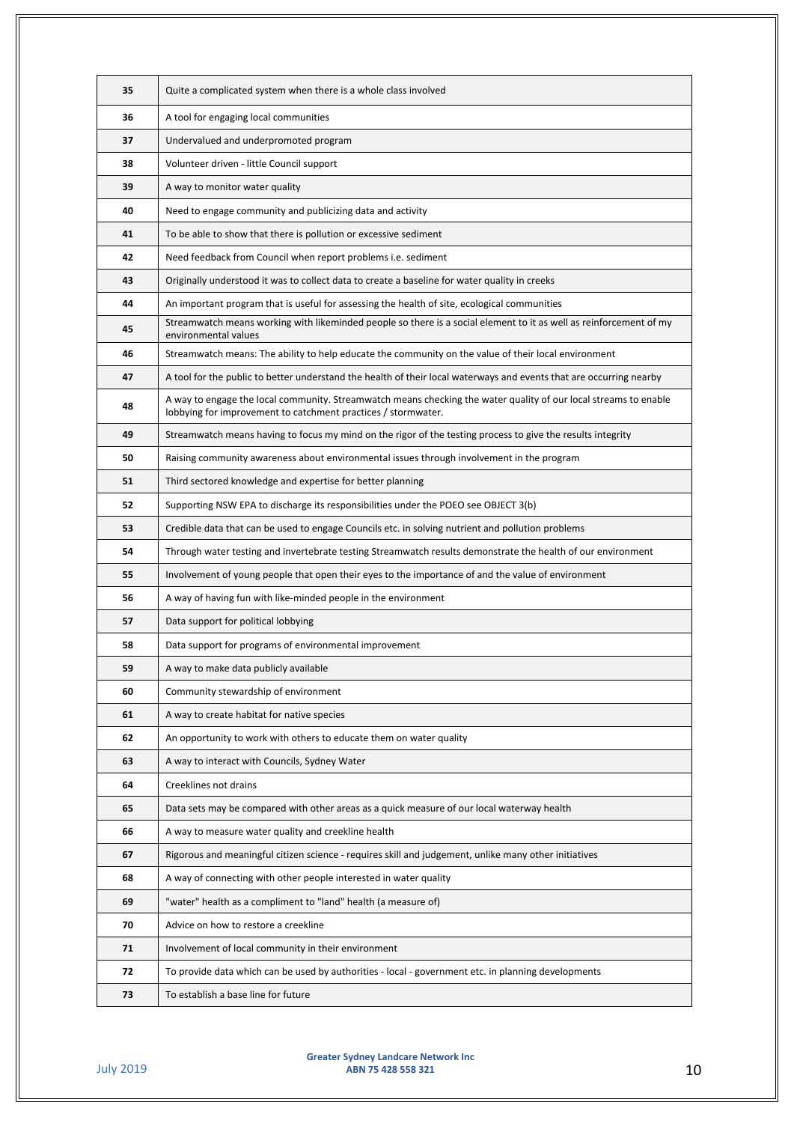| 35 | Quite a complicated system when there is a whole class involved                                                                                                                   |
|----|-----------------------------------------------------------------------------------------------------------------------------------------------------------------------------------|
| 36 | A tool for engaging local communities                                                                                                                                             |
| 37 | Undervalued and underpromoted program                                                                                                                                             |
| 38 | Volunteer driven - little Council support                                                                                                                                         |
| 39 | A way to monitor water quality                                                                                                                                                    |
| 40 | Need to engage community and publicizing data and activity                                                                                                                        |
| 41 | To be able to show that there is pollution or excessive sediment                                                                                                                  |
| 42 | Need feedback from Council when report problems i.e. sediment                                                                                                                     |
| 43 | Originally understood it was to collect data to create a baseline for water quality in creeks                                                                                     |
| 44 | An important program that is useful for assessing the health of site, ecological communities                                                                                      |
| 45 | Streamwatch means working with likeminded people so there is a social element to it as well as reinforcement of my<br>environmental values                                        |
| 46 | Streamwatch means: The ability to help educate the community on the value of their local environment                                                                              |
| 47 | A tool for the public to better understand the health of their local waterways and events that are occurring nearby                                                               |
| 48 | A way to engage the local community. Streamwatch means checking the water quality of our local streams to enable<br>lobbying for improvement to catchment practices / stormwater. |
| 49 | Streamwatch means having to focus my mind on the rigor of the testing process to give the results integrity                                                                       |
| 50 | Raising community awareness about environmental issues through involvement in the program                                                                                         |
| 51 | Third sectored knowledge and expertise for better planning                                                                                                                        |
| 52 | Supporting NSW EPA to discharge its responsibilities under the POEO see OBJECT 3(b)                                                                                               |
| 53 | Credible data that can be used to engage Councils etc. in solving nutrient and pollution problems                                                                                 |
| 54 | Through water testing and invertebrate testing Streamwatch results demonstrate the health of our environment                                                                      |
| 55 | Involvement of young people that open their eyes to the importance of and the value of environment                                                                                |
| 56 | A way of having fun with like-minded people in the environment                                                                                                                    |
| 57 | Data support for political lobbying                                                                                                                                               |
| 58 | Data support for programs of environmental improvement                                                                                                                            |
| 59 | A way to make data publicly available                                                                                                                                             |
| 60 | Community stewardship of environment                                                                                                                                              |
| 61 | A way to create habitat for native species                                                                                                                                        |
| 62 | An opportunity to work with others to educate them on water quality                                                                                                               |
| 63 | A way to interact with Councils, Sydney Water                                                                                                                                     |
| 64 | Creeklines not drains                                                                                                                                                             |
| 65 | Data sets may be compared with other areas as a quick measure of our local waterway health                                                                                        |
| 66 | A way to measure water quality and creekline health                                                                                                                               |
| 67 | Rigorous and meaningful citizen science - requires skill and judgement, unlike many other initiatives                                                                             |
| 68 | A way of connecting with other people interested in water quality                                                                                                                 |
| 69 | "water" health as a compliment to "land" health (a measure of)                                                                                                                    |
| 70 | Advice on how to restore a creekline                                                                                                                                              |
| 71 | Involvement of local community in their environment                                                                                                                               |
| 72 | To provide data which can be used by authorities - local - government etc. in planning developments                                                                               |
| 73 | To establish a base line for future                                                                                                                                               |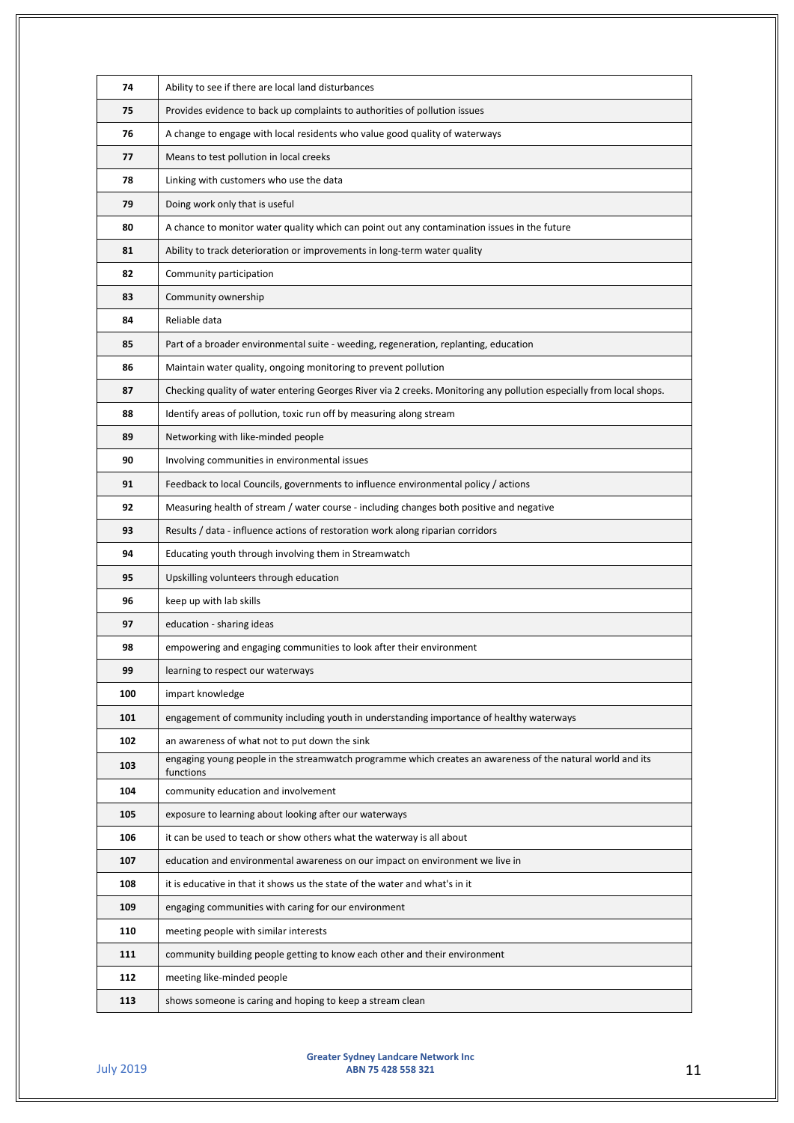| 74  | Ability to see if there are local land disturbances                                                                     |
|-----|-------------------------------------------------------------------------------------------------------------------------|
| 75  | Provides evidence to back up complaints to authorities of pollution issues                                              |
| 76  | A change to engage with local residents who value good quality of waterways                                             |
| 77  | Means to test pollution in local creeks                                                                                 |
| 78  | Linking with customers who use the data                                                                                 |
| 79  | Doing work only that is useful                                                                                          |
| 80  | A chance to monitor water quality which can point out any contamination issues in the future                            |
| 81  | Ability to track deterioration or improvements in long-term water quality                                               |
| 82  | Community participation                                                                                                 |
| 83  | Community ownership                                                                                                     |
| 84  | Reliable data                                                                                                           |
| 85  | Part of a broader environmental suite - weeding, regeneration, replanting, education                                    |
| 86  | Maintain water quality, ongoing monitoring to prevent pollution                                                         |
| 87  | Checking quality of water entering Georges River via 2 creeks. Monitoring any pollution especially from local shops.    |
| 88  | Identify areas of pollution, toxic run off by measuring along stream                                                    |
| 89  | Networking with like-minded people                                                                                      |
| 90  | Involving communities in environmental issues                                                                           |
| 91  | Feedback to local Councils, governments to influence environmental policy / actions                                     |
| 92  | Measuring health of stream / water course - including changes both positive and negative                                |
| 93  | Results / data - influence actions of restoration work along riparian corridors                                         |
| 94  | Educating youth through involving them in Streamwatch                                                                   |
| 95  | Upskilling volunteers through education                                                                                 |
| 96  | keep up with lab skills                                                                                                 |
| 97  | education - sharing ideas                                                                                               |
| 98  | empowering and engaging communities to look after their environment                                                     |
| 99  | learning to respect our waterways                                                                                       |
| 100 | impart knowledge                                                                                                        |
| 101 | engagement of community including youth in understanding importance of healthy waterways                                |
| 102 | an awareness of what not to put down the sink                                                                           |
| 103 | engaging young people in the streamwatch programme which creates an awareness of the natural world and its<br>functions |
| 104 | community education and involvement                                                                                     |
| 105 | exposure to learning about looking after our waterways                                                                  |
| 106 | it can be used to teach or show others what the waterway is all about                                                   |
| 107 | education and environmental awareness on our impact on environment we live in                                           |
| 108 | it is educative in that it shows us the state of the water and what's in it                                             |
| 109 | engaging communities with caring for our environment                                                                    |
| 110 | meeting people with similar interests                                                                                   |
| 111 | community building people getting to know each other and their environment                                              |
| 112 | meeting like-minded people                                                                                              |
| 113 | shows someone is caring and hoping to keep a stream clean                                                               |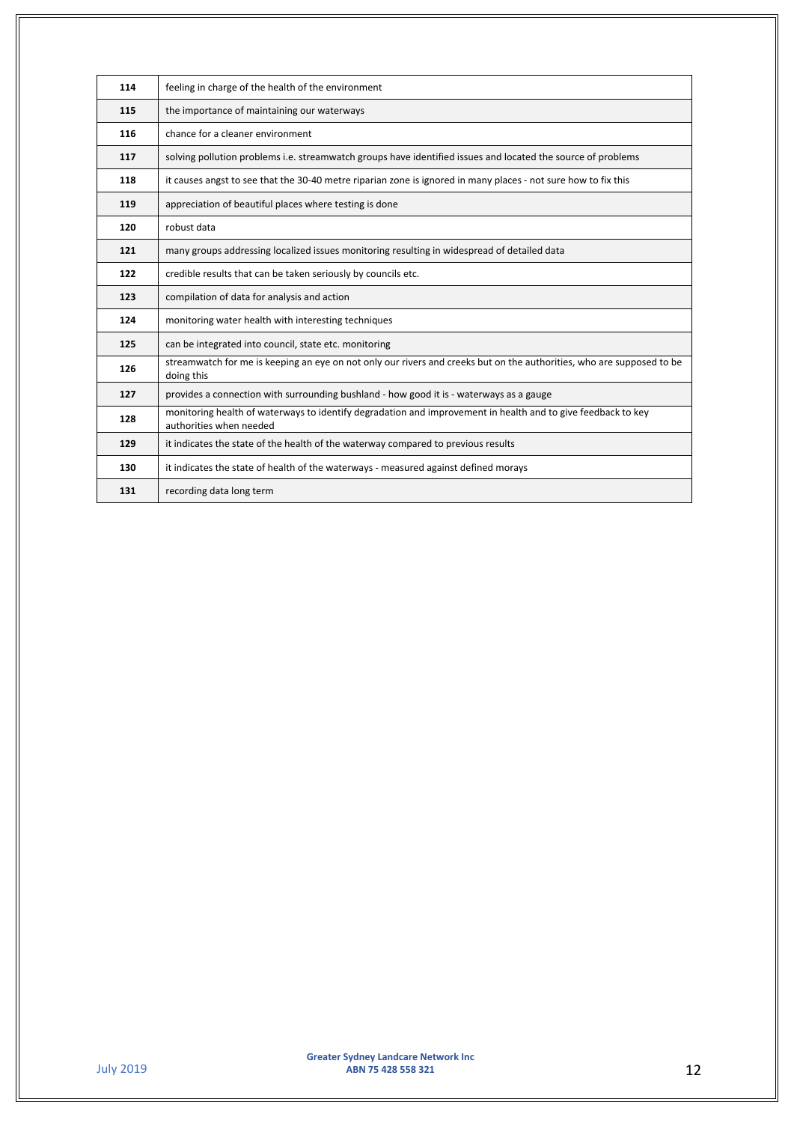| 114 | feeling in charge of the health of the environment                                                                                      |
|-----|-----------------------------------------------------------------------------------------------------------------------------------------|
| 115 | the importance of maintaining our waterways                                                                                             |
| 116 | chance for a cleaner environment                                                                                                        |
| 117 | solving pollution problems i.e. streamwatch groups have identified issues and located the source of problems                            |
| 118 | it causes angst to see that the 30-40 metre riparian zone is ignored in many places - not sure how to fix this                          |
| 119 | appreciation of beautiful places where testing is done                                                                                  |
| 120 | robust data                                                                                                                             |
| 121 | many groups addressing localized issues monitoring resulting in widespread of detailed data                                             |
| 122 | credible results that can be taken seriously by councils etc.                                                                           |
|     |                                                                                                                                         |
| 123 | compilation of data for analysis and action                                                                                             |
| 124 | monitoring water health with interesting techniques                                                                                     |
| 125 | can be integrated into council, state etc. monitoring                                                                                   |
| 126 | streamwatch for me is keeping an eye on not only our rivers and creeks but on the authorities, who are supposed to be<br>doing this     |
| 127 | provides a connection with surrounding bushland - how good it is - waterways as a gauge                                                 |
| 128 | monitoring health of waterways to identify degradation and improvement in health and to give feedback to key<br>authorities when needed |
| 129 | it indicates the state of the health of the waterway compared to previous results                                                       |
| 130 | it indicates the state of health of the waterways - measured against defined morays                                                     |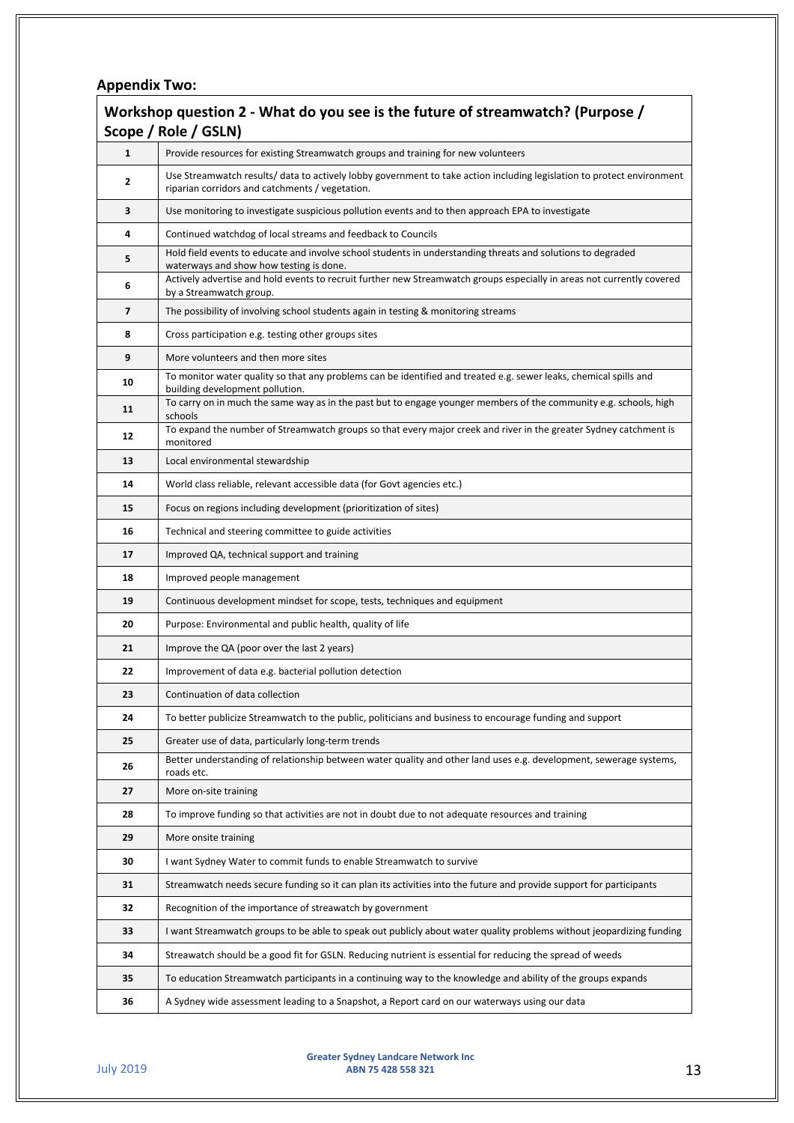## **Appendix Two:**

| Workshop question 2 - What do you see is the future of streamwatch? (Purpose /<br>Scope / Role / GSLN) |                                                                                                                                                                           |
|--------------------------------------------------------------------------------------------------------|---------------------------------------------------------------------------------------------------------------------------------------------------------------------------|
| $\mathbf{1}$                                                                                           | Provide resources for existing Streamwatch groups and training for new volunteers                                                                                         |
| 2                                                                                                      | Use Streamwatch results/ data to actively lobby government to take action including legislation to protect environment<br>riparian corridors and catchments / vegetation. |
| 3                                                                                                      | Use monitoring to investigate suspicious pollution events and to then approach EPA to investigate                                                                         |
| 4                                                                                                      | Continued watchdog of local streams and feedback to Councils                                                                                                              |
| 5                                                                                                      | Hold field events to educate and involve school students in understanding threats and solutions to degraded<br>waterways and show how testing is done.                    |
| 6                                                                                                      | Actively advertise and hold events to recruit further new Streamwatch groups especially in areas not currently covered<br>by a Streamwatch group.                         |
| 7                                                                                                      | The possibility of involving school students again in testing & monitoring streams                                                                                        |
| 8                                                                                                      | Cross participation e.g. testing other groups sites                                                                                                                       |
| 9                                                                                                      | More volunteers and then more sites                                                                                                                                       |
| 10                                                                                                     | To monitor water quality so that any problems can be identified and treated e.g. sewer leaks, chemical spills and<br>building development pollution.                      |
| 11                                                                                                     | To carry on in much the same way as in the past but to engage younger members of the community e.g. schools, high<br>schools                                              |
| 12                                                                                                     | To expand the number of Streamwatch groups so that every major creek and river in the greater Sydney catchment is<br>monitored                                            |
| 13                                                                                                     | Local environmental stewardship                                                                                                                                           |
| 14                                                                                                     | World class reliable, relevant accessible data (for Govt agencies etc.)                                                                                                   |
| 15                                                                                                     | Focus on regions including development (prioritization of sites)                                                                                                          |
| 16                                                                                                     | Technical and steering committee to guide activities                                                                                                                      |
| 17                                                                                                     | Improved QA, technical support and training                                                                                                                               |
| 18                                                                                                     | Improved people management                                                                                                                                                |
| 19                                                                                                     | Continuous development mindset for scope, tests, techniques and equipment                                                                                                 |
| 20                                                                                                     | Purpose: Environmental and public health, quality of life                                                                                                                 |
| 21                                                                                                     | Improve the QA (poor over the last 2 years)                                                                                                                               |
| 22                                                                                                     | Improvement of data e.g. bacterial pollution detection                                                                                                                    |
| 23                                                                                                     | Continuation of data collection                                                                                                                                           |
| 24                                                                                                     | To better publicize Streamwatch to the public, politicians and business to encourage funding and support                                                                  |
| 25                                                                                                     | Greater use of data, particularly long-term trends                                                                                                                        |
| 26                                                                                                     | Better understanding of relationship between water quality and other land uses e.g. development, sewerage systems,<br>roads etc.                                          |
| 27                                                                                                     | More on-site training                                                                                                                                                     |
| 28                                                                                                     | To improve funding so that activities are not in doubt due to not adequate resources and training                                                                         |
| 29                                                                                                     | More onsite training                                                                                                                                                      |
| 30                                                                                                     | I want Sydney Water to commit funds to enable Streamwatch to survive                                                                                                      |
| 31                                                                                                     | Streamwatch needs secure funding so it can plan its activities into the future and provide support for participants                                                       |
| 32                                                                                                     | Recognition of the importance of streawatch by government                                                                                                                 |
| 33                                                                                                     | I want Streamwatch groups to be able to speak out publicly about water quality problems without jeopardizing funding                                                      |
| 34                                                                                                     | Streawatch should be a good fit for GSLN. Reducing nutrient is essential for reducing the spread of weeds                                                                 |
| 35                                                                                                     | To education Streamwatch participants in a continuing way to the knowledge and ability of the groups expands                                                              |
| 36                                                                                                     | A Sydney wide assessment leading to a Snapshot, a Report card on our waterways using our data                                                                             |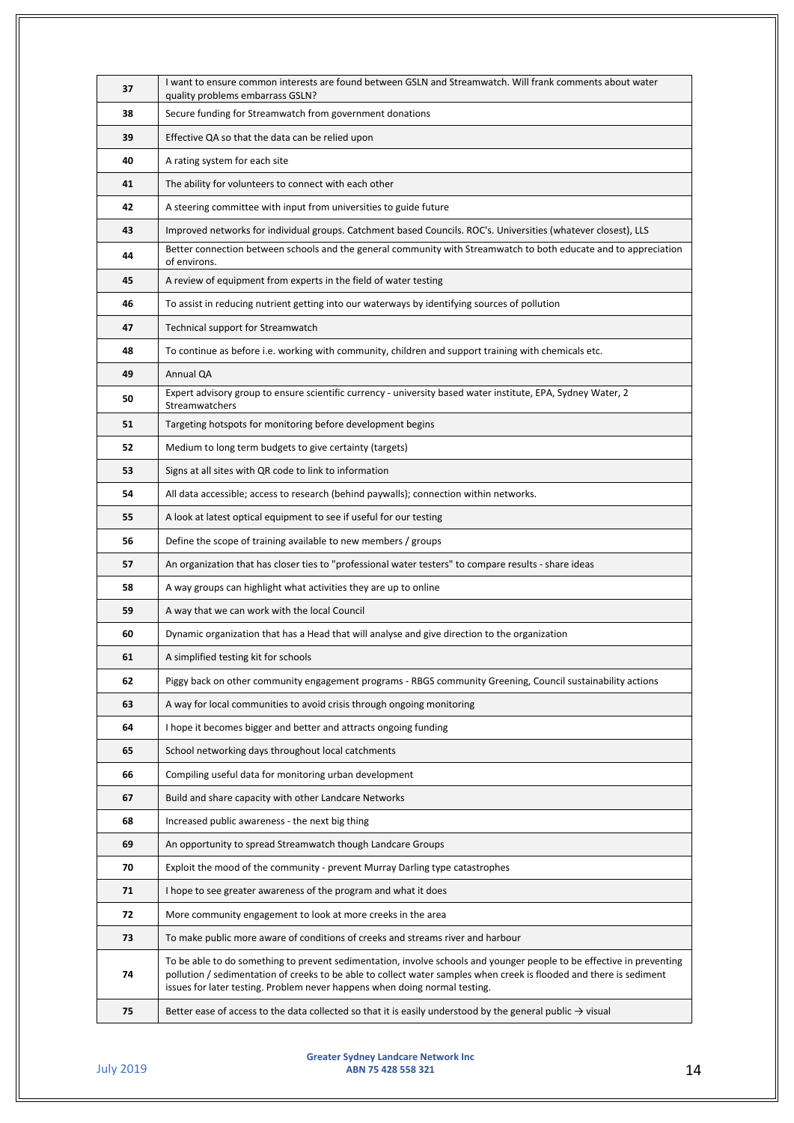| 37 | I want to ensure common interests are found between GSLN and Streamwatch. Will frank comments about water                                                                                                                                                                                                                  |
|----|----------------------------------------------------------------------------------------------------------------------------------------------------------------------------------------------------------------------------------------------------------------------------------------------------------------------------|
| 38 | quality problems embarrass GSLN?<br>Secure funding for Streamwatch from government donations                                                                                                                                                                                                                               |
| 39 | Effective QA so that the data can be relied upon                                                                                                                                                                                                                                                                           |
| 40 | A rating system for each site                                                                                                                                                                                                                                                                                              |
| 41 | The ability for volunteers to connect with each other                                                                                                                                                                                                                                                                      |
| 42 | A steering committee with input from universities to guide future                                                                                                                                                                                                                                                          |
| 43 | Improved networks for individual groups. Catchment based Councils. ROC's. Universities (whatever closest), LLS                                                                                                                                                                                                             |
|    | Better connection between schools and the general community with Streamwatch to both educate and to appreciation                                                                                                                                                                                                           |
| 44 | of environs.                                                                                                                                                                                                                                                                                                               |
| 45 | A review of equipment from experts in the field of water testing                                                                                                                                                                                                                                                           |
| 46 | To assist in reducing nutrient getting into our waterways by identifying sources of pollution                                                                                                                                                                                                                              |
| 47 | Technical support for Streamwatch                                                                                                                                                                                                                                                                                          |
| 48 | To continue as before i.e. working with community, children and support training with chemicals etc.                                                                                                                                                                                                                       |
| 49 | Annual QA                                                                                                                                                                                                                                                                                                                  |
| 50 | Expert advisory group to ensure scientific currency - university based water institute, EPA, Sydney Water, 2<br>Streamwatchers                                                                                                                                                                                             |
| 51 | Targeting hotspots for monitoring before development begins                                                                                                                                                                                                                                                                |
| 52 | Medium to long term budgets to give certainty (targets)                                                                                                                                                                                                                                                                    |
| 53 | Signs at all sites with QR code to link to information                                                                                                                                                                                                                                                                     |
| 54 | All data accessible; access to research (behind paywalls); connection within networks.                                                                                                                                                                                                                                     |
| 55 | A look at latest optical equipment to see if useful for our testing                                                                                                                                                                                                                                                        |
| 56 | Define the scope of training available to new members / groups                                                                                                                                                                                                                                                             |
| 57 | An organization that has closer ties to "professional water testers" to compare results - share ideas                                                                                                                                                                                                                      |
| 58 | A way groups can highlight what activities they are up to online                                                                                                                                                                                                                                                           |
| 59 | A way that we can work with the local Council                                                                                                                                                                                                                                                                              |
| 60 | Dynamic organization that has a Head that will analyse and give direction to the organization                                                                                                                                                                                                                              |
| 61 | A simplified testing kit for schools                                                                                                                                                                                                                                                                                       |
| 62 | Piggy back on other community engagement programs - RBGS community Greening, Council sustainability actions                                                                                                                                                                                                                |
| 63 | A way for local communities to avoid crisis through ongoing monitoring                                                                                                                                                                                                                                                     |
| 64 | I hope it becomes bigger and better and attracts ongoing funding                                                                                                                                                                                                                                                           |
| 65 | School networking days throughout local catchments                                                                                                                                                                                                                                                                         |
| 66 | Compiling useful data for monitoring urban development                                                                                                                                                                                                                                                                     |
| 67 | Build and share capacity with other Landcare Networks                                                                                                                                                                                                                                                                      |
| 68 | Increased public awareness - the next big thing                                                                                                                                                                                                                                                                            |
| 69 | An opportunity to spread Streamwatch though Landcare Groups                                                                                                                                                                                                                                                                |
| 70 | Exploit the mood of the community - prevent Murray Darling type catastrophes                                                                                                                                                                                                                                               |
| 71 | I hope to see greater awareness of the program and what it does                                                                                                                                                                                                                                                            |
| 72 | More community engagement to look at more creeks in the area                                                                                                                                                                                                                                                               |
| 73 | To make public more aware of conditions of creeks and streams river and harbour                                                                                                                                                                                                                                            |
| 74 | To be able to do something to prevent sedimentation, involve schools and younger people to be effective in preventing<br>pollution / sedimentation of creeks to be able to collect water samples when creek is flooded and there is sediment<br>issues for later testing. Problem never happens when doing normal testing. |
| 75 | Better ease of access to the data collected so that it is easily understood by the general public $\rightarrow$ visual                                                                                                                                                                                                     |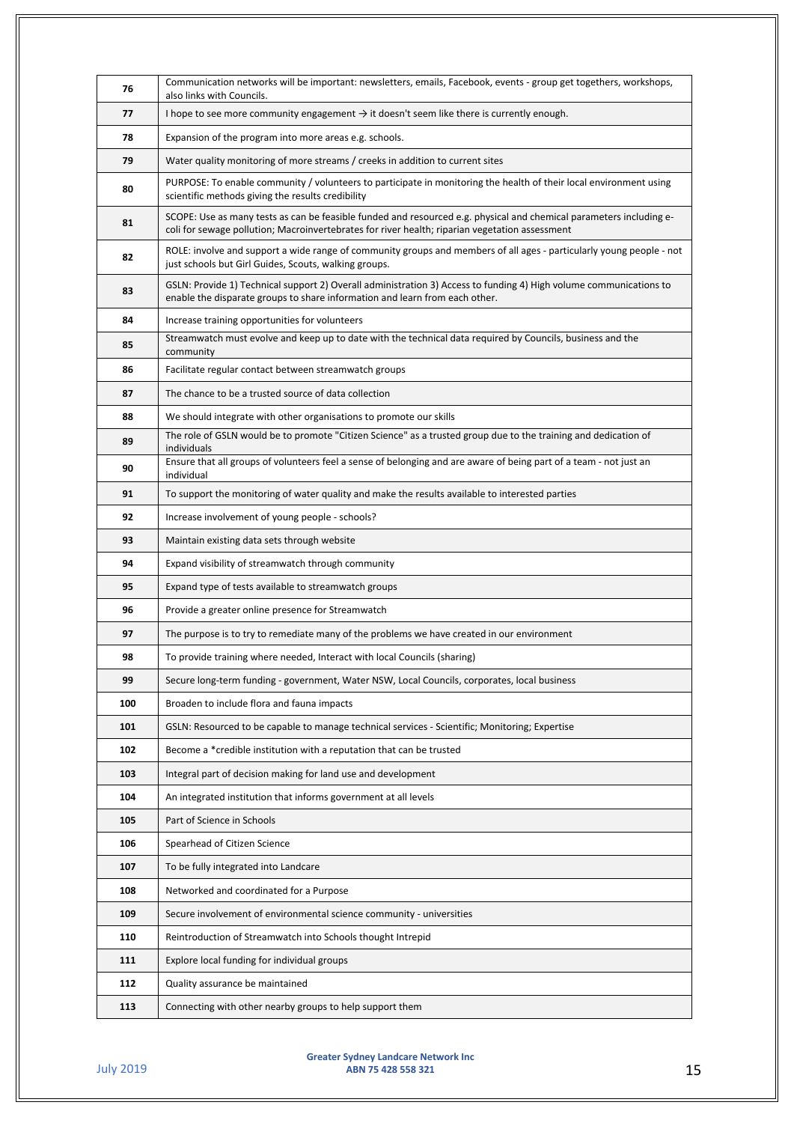| 76  | Communication networks will be important: newsletters, emails, Facebook, events - group get togethers, workshops,<br>also links with Councils.                                                                        |
|-----|-----------------------------------------------------------------------------------------------------------------------------------------------------------------------------------------------------------------------|
| 77  | I hope to see more community engagement $\rightarrow$ it doesn't seem like there is currently enough.                                                                                                                 |
| 78  | Expansion of the program into more areas e.g. schools.                                                                                                                                                                |
| 79  | Water quality monitoring of more streams / creeks in addition to current sites                                                                                                                                        |
| 80  | PURPOSE: To enable community / volunteers to participate in monitoring the health of their local environment using<br>scientific methods giving the results credibility                                               |
| 81  | SCOPE: Use as many tests as can be feasible funded and resourced e.g. physical and chemical parameters including e-<br>coli for sewage pollution; Macroinvertebrates for river health; riparian vegetation assessment |
| 82  | ROLE: involve and support a wide range of community groups and members of all ages - particularly young people - not<br>just schools but Girl Guides, Scouts, walking groups.                                         |
| 83  | GSLN: Provide 1) Technical support 2) Overall administration 3) Access to funding 4) High volume communications to<br>enable the disparate groups to share information and learn from each other.                     |
| 84  | Increase training opportunities for volunteers                                                                                                                                                                        |
| 85  | Streamwatch must evolve and keep up to date with the technical data required by Councils, business and the<br>community                                                                                               |
| 86  | Facilitate regular contact between streamwatch groups                                                                                                                                                                 |
| 87  | The chance to be a trusted source of data collection                                                                                                                                                                  |
| 88  | We should integrate with other organisations to promote our skills                                                                                                                                                    |
| 89  | The role of GSLN would be to promote "Citizen Science" as a trusted group due to the training and dedication of<br>individuals                                                                                        |
| 90  | Ensure that all groups of volunteers feel a sense of belonging and are aware of being part of a team - not just an<br>individual                                                                                      |
| 91  | To support the monitoring of water quality and make the results available to interested parties                                                                                                                       |
| 92  | Increase involvement of young people - schools?                                                                                                                                                                       |
| 93  | Maintain existing data sets through website                                                                                                                                                                           |
| 94  | Expand visibility of streamwatch through community                                                                                                                                                                    |
| 95  | Expand type of tests available to streamwatch groups                                                                                                                                                                  |
| 96  | Provide a greater online presence for Streamwatch                                                                                                                                                                     |
| 97  | The purpose is to try to remediate many of the problems we have created in our environment                                                                                                                            |
| 98  | To provide training where needed, Interact with local Councils (sharing)                                                                                                                                              |
| 99  | Secure long-term funding - government, Water NSW, Local Councils, corporates, local business                                                                                                                          |
| 100 | Broaden to include flora and fauna impacts                                                                                                                                                                            |
| 101 | GSLN: Resourced to be capable to manage technical services - Scientific; Monitoring; Expertise                                                                                                                        |
| 102 | Become a *credible institution with a reputation that can be trusted                                                                                                                                                  |
| 103 | Integral part of decision making for land use and development                                                                                                                                                         |
| 104 | An integrated institution that informs government at all levels                                                                                                                                                       |
| 105 | Part of Science in Schools                                                                                                                                                                                            |
| 106 | Spearhead of Citizen Science                                                                                                                                                                                          |
| 107 | To be fully integrated into Landcare                                                                                                                                                                                  |
| 108 | Networked and coordinated for a Purpose                                                                                                                                                                               |
| 109 | Secure involvement of environmental science community - universities                                                                                                                                                  |
| 110 | Reintroduction of Streamwatch into Schools thought Intrepid                                                                                                                                                           |
| 111 | Explore local funding for individual groups                                                                                                                                                                           |
| 112 | Quality assurance be maintained                                                                                                                                                                                       |
| 113 | Connecting with other nearby groups to help support them                                                                                                                                                              |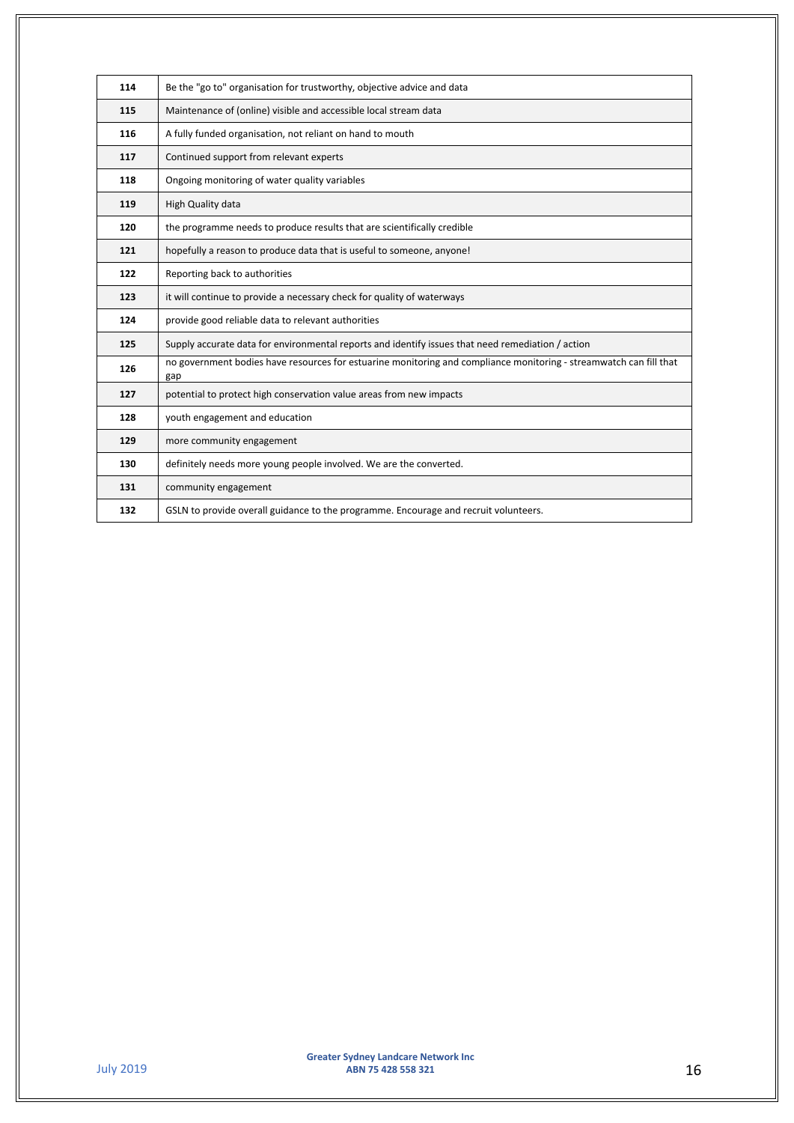| 114 | Be the "go to" organisation for trustworthy, objective advice and data                                                    |
|-----|---------------------------------------------------------------------------------------------------------------------------|
| 115 | Maintenance of (online) visible and accessible local stream data                                                          |
| 116 | A fully funded organisation, not reliant on hand to mouth                                                                 |
| 117 | Continued support from relevant experts                                                                                   |
| 118 | Ongoing monitoring of water quality variables                                                                             |
| 119 | High Quality data                                                                                                         |
| 120 | the programme needs to produce results that are scientifically credible                                                   |
| 121 | hopefully a reason to produce data that is useful to someone, anyone!                                                     |
| 122 | Reporting back to authorities                                                                                             |
| 123 | it will continue to provide a necessary check for quality of waterways                                                    |
| 124 | provide good reliable data to relevant authorities                                                                        |
| 125 | Supply accurate data for environmental reports and identify issues that need remediation / action                         |
| 126 | no government bodies have resources for estuarine monitoring and compliance monitoring - streamwatch can fill that<br>gap |
| 127 | potential to protect high conservation value areas from new impacts                                                       |
| 128 | youth engagement and education                                                                                            |
| 129 | more community engagement                                                                                                 |
| 130 | definitely needs more young people involved. We are the converted.                                                        |
| 131 | community engagement                                                                                                      |
| 132 | GSLN to provide overall guidance to the programme. Encourage and recruit volunteers.                                      |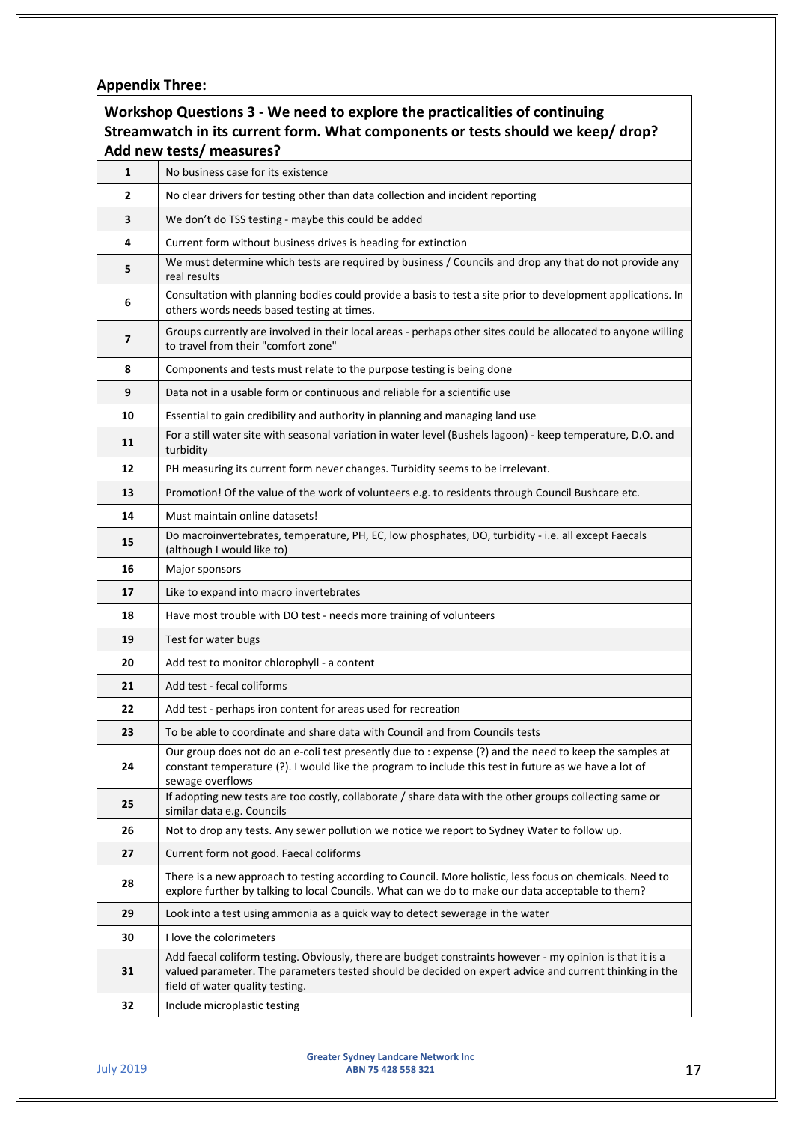# **Appendix Three:**

| Workshop Questions 3 - We need to explore the practicalities of continuing<br>Streamwatch in its current form. What components or tests should we keep/drop? |                                                                                                                                                                                                                                                        |
|--------------------------------------------------------------------------------------------------------------------------------------------------------------|--------------------------------------------------------------------------------------------------------------------------------------------------------------------------------------------------------------------------------------------------------|
| $\mathbf{1}$                                                                                                                                                 | Add new tests/ measures?<br>No business case for its existence                                                                                                                                                                                         |
| $\mathbf{z}$                                                                                                                                                 | No clear drivers for testing other than data collection and incident reporting                                                                                                                                                                         |
| 3                                                                                                                                                            | We don't do TSS testing - maybe this could be added                                                                                                                                                                                                    |
| 4                                                                                                                                                            | Current form without business drives is heading for extinction                                                                                                                                                                                         |
| 5                                                                                                                                                            | We must determine which tests are required by business / Councils and drop any that do not provide any<br>real results                                                                                                                                 |
| 6                                                                                                                                                            | Consultation with planning bodies could provide a basis to test a site prior to development applications. In<br>others words needs based testing at times.                                                                                             |
| 7                                                                                                                                                            | Groups currently are involved in their local areas - perhaps other sites could be allocated to anyone willing<br>to travel from their "comfort zone"                                                                                                   |
| 8                                                                                                                                                            | Components and tests must relate to the purpose testing is being done                                                                                                                                                                                  |
| 9                                                                                                                                                            | Data not in a usable form or continuous and reliable for a scientific use                                                                                                                                                                              |
| 10                                                                                                                                                           | Essential to gain credibility and authority in planning and managing land use                                                                                                                                                                          |
| 11                                                                                                                                                           | For a still water site with seasonal variation in water level (Bushels lagoon) - keep temperature, D.O. and<br>turbidity                                                                                                                               |
| 12                                                                                                                                                           | PH measuring its current form never changes. Turbidity seems to be irrelevant.                                                                                                                                                                         |
| 13                                                                                                                                                           | Promotion! Of the value of the work of volunteers e.g. to residents through Council Bushcare etc.                                                                                                                                                      |
| 14                                                                                                                                                           | Must maintain online datasets!                                                                                                                                                                                                                         |
| 15                                                                                                                                                           | Do macroinvertebrates, temperature, PH, EC, low phosphates, DO, turbidity - i.e. all except Faecals<br>(although I would like to)                                                                                                                      |
| 16                                                                                                                                                           | Major sponsors                                                                                                                                                                                                                                         |
| 17                                                                                                                                                           | Like to expand into macro invertebrates                                                                                                                                                                                                                |
| 18                                                                                                                                                           | Have most trouble with DO test - needs more training of volunteers                                                                                                                                                                                     |
| 19                                                                                                                                                           | Test for water bugs                                                                                                                                                                                                                                    |
| 20                                                                                                                                                           | Add test to monitor chlorophyll - a content                                                                                                                                                                                                            |
| 21                                                                                                                                                           | Add test - fecal coliforms                                                                                                                                                                                                                             |
| 22                                                                                                                                                           | Add test - perhaps iron content for areas used for recreation                                                                                                                                                                                          |
| 23                                                                                                                                                           | To be able to coordinate and share data with Council and from Councils tests                                                                                                                                                                           |
| 24                                                                                                                                                           | Our group does not do an e-coli test presently due to : expense (?) and the need to keep the samples at<br>constant temperature (?). I would like the program to include this test in future as we have a lot of<br>sewage overflows                   |
| 25                                                                                                                                                           | If adopting new tests are too costly, collaborate / share data with the other groups collecting same or<br>similar data e.g. Councils                                                                                                                  |
| 26                                                                                                                                                           | Not to drop any tests. Any sewer pollution we notice we report to Sydney Water to follow up.                                                                                                                                                           |
| 27                                                                                                                                                           | Current form not good. Faecal coliforms                                                                                                                                                                                                                |
| 28                                                                                                                                                           | There is a new approach to testing according to Council. More holistic, less focus on chemicals. Need to<br>explore further by talking to local Councils. What can we do to make our data acceptable to them?                                          |
| 29                                                                                                                                                           | Look into a test using ammonia as a quick way to detect sewerage in the water                                                                                                                                                                          |
| 30                                                                                                                                                           | I love the colorimeters                                                                                                                                                                                                                                |
| 31                                                                                                                                                           | Add faecal coliform testing. Obviously, there are budget constraints however - my opinion is that it is a<br>valued parameter. The parameters tested should be decided on expert advice and current thinking in the<br>field of water quality testing. |
| 32                                                                                                                                                           | Include microplastic testing                                                                                                                                                                                                                           |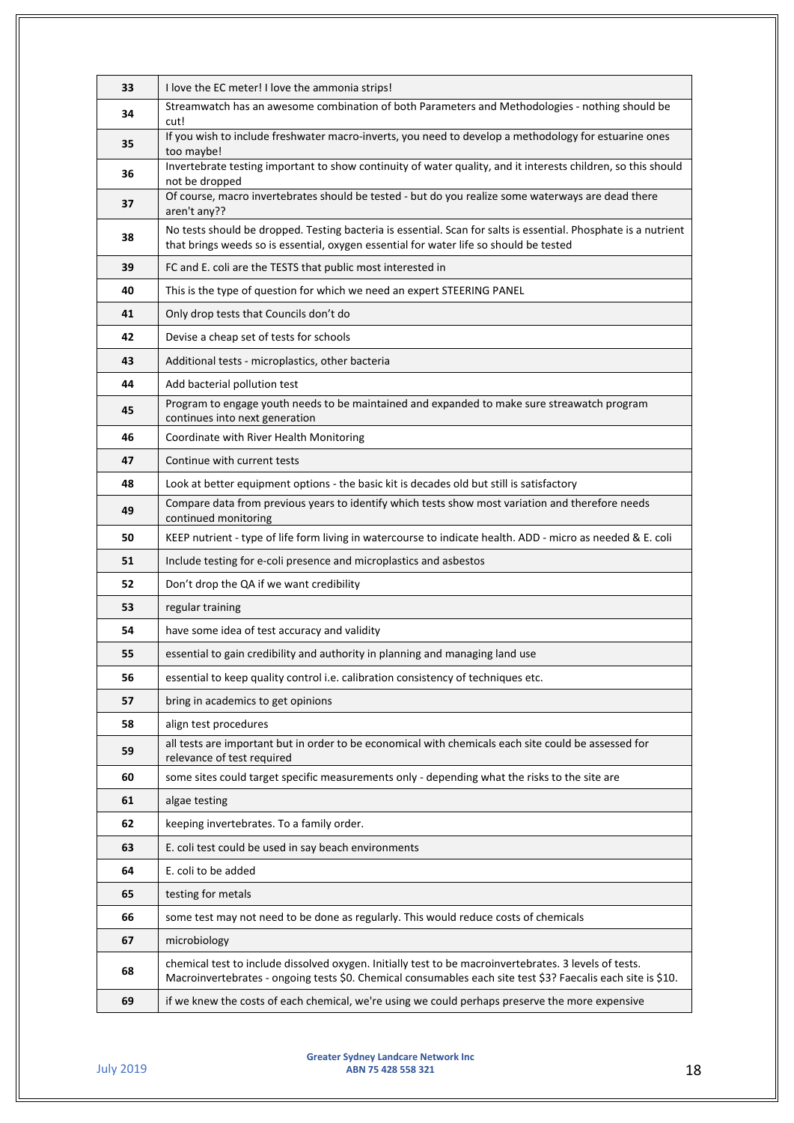| 33 | I love the EC meter! I love the ammonia strips!                                                                                                                                                                        |
|----|------------------------------------------------------------------------------------------------------------------------------------------------------------------------------------------------------------------------|
| 34 | Streamwatch has an awesome combination of both Parameters and Methodologies - nothing should be<br>cut!                                                                                                                |
| 35 | If you wish to include freshwater macro-inverts, you need to develop a methodology for estuarine ones<br>too maybe!                                                                                                    |
| 36 | Invertebrate testing important to show continuity of water quality, and it interests children, so this should<br>not be dropped                                                                                        |
| 37 | Of course, macro invertebrates should be tested - but do you realize some waterways are dead there<br>aren't any??                                                                                                     |
| 38 | No tests should be dropped. Testing bacteria is essential. Scan for salts is essential. Phosphate is a nutrient<br>that brings weeds so is essential, oxygen essential for water life so should be tested              |
| 39 | FC and E. coli are the TESTS that public most interested in                                                                                                                                                            |
| 40 | This is the type of question for which we need an expert STEERING PANEL                                                                                                                                                |
| 41 | Only drop tests that Councils don't do                                                                                                                                                                                 |
| 42 | Devise a cheap set of tests for schools                                                                                                                                                                                |
| 43 | Additional tests - microplastics, other bacteria                                                                                                                                                                       |
| 44 | Add bacterial pollution test                                                                                                                                                                                           |
| 45 | Program to engage youth needs to be maintained and expanded to make sure streawatch program<br>continues into next generation                                                                                          |
| 46 | Coordinate with River Health Monitoring                                                                                                                                                                                |
| 47 | Continue with current tests                                                                                                                                                                                            |
| 48 | Look at better equipment options - the basic kit is decades old but still is satisfactory                                                                                                                              |
| 49 | Compare data from previous years to identify which tests show most variation and therefore needs<br>continued monitoring                                                                                               |
| 50 | KEEP nutrient - type of life form living in watercourse to indicate health. ADD - micro as needed & E. coli                                                                                                            |
| 51 | Include testing for e-coli presence and microplastics and asbestos                                                                                                                                                     |
| 52 | Don't drop the QA if we want credibility                                                                                                                                                                               |
| 53 | regular training                                                                                                                                                                                                       |
| 54 | have some idea of test accuracy and validity                                                                                                                                                                           |
| 55 | essential to gain credibility and authority in planning and managing land use                                                                                                                                          |
| 56 | essential to keep quality control i.e. calibration consistency of techniques etc.                                                                                                                                      |
| 57 | bring in academics to get opinions                                                                                                                                                                                     |
| 58 | align test procedures                                                                                                                                                                                                  |
| 59 | all tests are important but in order to be economical with chemicals each site could be assessed for<br>relevance of test required                                                                                     |
| 60 | some sites could target specific measurements only - depending what the risks to the site are                                                                                                                          |
| 61 | algae testing                                                                                                                                                                                                          |
| 62 | keeping invertebrates. To a family order.                                                                                                                                                                              |
| 63 | E. coli test could be used in say beach environments                                                                                                                                                                   |
| 64 | E. coli to be added                                                                                                                                                                                                    |
| 65 | testing for metals                                                                                                                                                                                                     |
| 66 | some test may not need to be done as regularly. This would reduce costs of chemicals                                                                                                                                   |
| 67 | microbiology                                                                                                                                                                                                           |
| 68 | chemical test to include dissolved oxygen. Initially test to be macroinvertebrates. 3 levels of tests.<br>Macroinvertebrates - ongoing tests \$0. Chemical consumables each site test \$3? Faecalis each site is \$10. |
| 69 | if we knew the costs of each chemical, we're using we could perhaps preserve the more expensive                                                                                                                        |